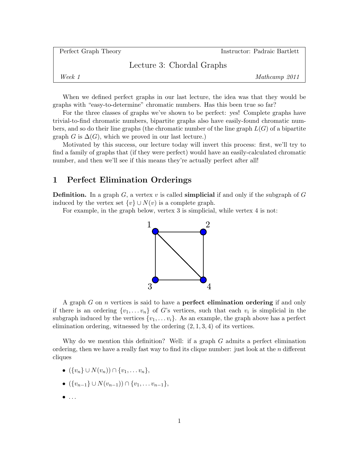| Perfect Graph Theory |                           | Instructor: Padraic Bartlett |
|----------------------|---------------------------|------------------------------|
|                      | Lecture 3: Chordal Graphs |                              |
| Week 1               |                           | Mathcamp 2011                |
|                      |                           |                              |

When we defined perfect graphs in our last lecture, the idea was that they would be graphs with "easy-to-determine" chromatic numbers. Has this been true so far?

For the three classes of graphs we've shown to be perfect: yes! Complete graphs have trivial-to-find chromatic numbers, bipartite graphs also have easily-found chromatic numbers, and so do their line graphs (the chromatic number of the line graph  $L(G)$  of a bipartite graph G is  $\Delta(G)$ , which we proved in our last lecture.)

Motivated by this success, our lecture today will invert this process: first, we'll try to find a family of graphs that (if they were perfect) would have an easily-calculated chromatic number, and then we'll see if this means they're actually perfect after all!

## 1 Perfect Elimination Orderings

**Definition.** In a graph  $G$ , a vertex v is called **simplicial** if and only if the subgraph of  $G$ induced by the vertex set  $\{v\} \cup N(v)$  is a complete graph.

For example, in the graph below, vertex 3 is simplicial, while vertex 4 is not:



A graph  $G$  on  $n$  vertices is said to have a **perfect elimination ordering** if and only if there is an ordering  $\{v_1, \ldots v_n\}$  of G's vertices, such that each  $v_i$  is simplicial in the subgraph induced by the vertices  $\{v_1, \ldots v_i\}$ . As an example, the graph above has a perfect elimination ordering, witnessed by the ordering  $(2, 1, 3, 4)$  of its vertices.

Why do we mention this definition? Well: if a graph G admits a perfect elimination ordering, then we have a really fast way to find its clique number: just look at the n different cliques

•  $({v_n} \cup N(v_n)) \cap {v_1, \ldots v_n},$ 

• 
$$
(\{v_{n-1}\}\cup N(v_{n-1}))\cap \{v_1,\ldots v_{n-1}\},\
$$

• . . .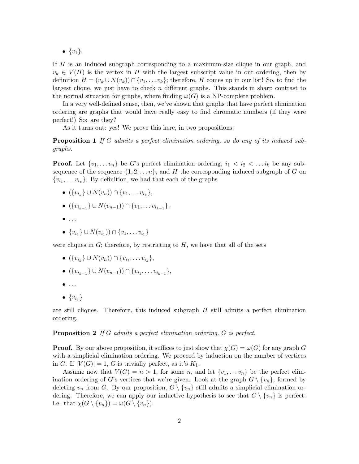•  $\{v_1\}.$ 

If H is an induced subgraph corresponding to a maximum-size clique in our graph, and  $v_k \in V(H)$  is the vertex in H with the largest subscript value in our ordering, then by definition  $H = (v_k \cup N(v_k)) \cap \{v_1, \ldots v_k\}$ ; therefore, H comes up in our list! So, to find the largest clique, we just have to check  $n$  different graphs. This stands in sharp contrast to the normal situation for graphs, where finding  $\omega(G)$  is a NP-complete problem.

In a very well-defined sense, then, we've shown that graphs that have perfect elimination ordering are graphs that would have really easy to find chromatic numbers (if they were perfect!) So: are they?

As it turns out: yes! We prove this here, in two propositions:

**Proposition 1** If G admits a perfect elimination ordering, so do any of its induced subgraphs.

**Proof.** Let  $\{v_1, \ldots v_n\}$  be G's perfect elimination ordering,  $i_1 < i_2 < \ldots i_k$  be any subsequence of the sequence  $\{1, 2, \ldots n\}$ , and H the corresponding induced subgraph of G on  $\{v_{i_1}, \ldots v_{i_k}\}\$ . By definition, we had that each of the graphs

- $({v_{i_k}} \cup N(v_n)) \cap {v_1, \ldots v_{i_k}},$
- $({v_{i_{k-1}}}\cup N(v_{n-1}))\cap {v_1,\ldots v_{i_{k-1}}},$
- $\bullet$  ...
- $\{v_{i_1}\}\cup N(v_{i_1})\cap \{v_1,\ldots v_{i_1}\}\$

were cliques in  $G$ ; therefore, by restricting to  $H$ , we have that all of the sets

- $({v_{i_k}} \cup N(v_n)) \cap {v_{i_1}, \ldots v_{i_k}},$
- $({v_{i_{k-1}}}\cup N(v_{n-1}))\cap {v_{i_1},\ldots v_{i_{k-1}}},$
- $\bullet$  ...
- $\bullet$   $\{v_{i_1}\}\$

are still cliques. Therefore, this induced subgraph  $H$  still admits a perfect elimination ordering.

**Proposition 2** If G admits a perfect elimination ordering, G is perfect.

**Proof.** By our above proposition, it suffices to just show that  $\chi(G) = \omega(G)$  for any graph G with a simplicial elimination ordering. We proceed by induction on the number of vertices in G. If  $|V(G)| = 1$ , G is trivially perfect, as it's  $K_1$ .

Assume now that  $V(G) = n > 1$ , for some n, and let  $\{v_1, \ldots v_n\}$  be the perfect elimination ordering of G's vertices that we're given. Look at the graph  $G \setminus \{v_n\}$ , formed by deleting  $v_n$  from G. By our proposition,  $G \setminus \{v_n\}$  still admits a simplicial elimination ordering. Therefore, we can apply our inductive hypothesis to see that  $G \setminus \{v_n\}$  is perfect: i.e. that  $\chi(G \setminus \{v_n\}) = \omega(G \setminus \{v_n\}).$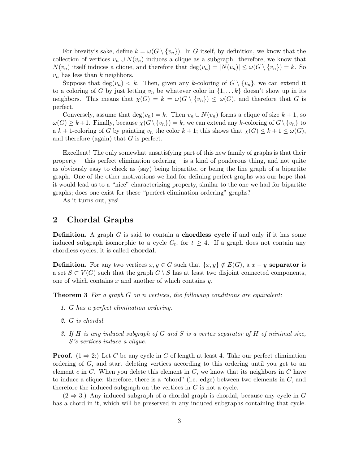For brevity's sake, define  $k = \omega(G \setminus \{v_n\})$ . In G itself, by definition, we know that the collection of vertices  $v_n \cup N(v_n)$  induces a clique as a subgraph: therefore, we know that  $N(v_n)$  itself induces a clique, and therefore that  $\deg(v_n) = |N(v_n)| \leq \omega(G \setminus \{v_n\}) = k$ . So  $v_n$  has less than k neighbors.

Suppose that  $\deg(v_n) < k$ . Then, given any k-coloring of  $G \setminus \{v_n\}$ , we can extend it to a coloring of G by just letting  $v_n$  be whatever color in  $\{1, \ldots k\}$  doesn't show up in its neighbors. This means that  $\chi(G) = k = \omega(G \setminus \{v_n\}) \leq \omega(G)$ , and therefore that G is perfect.

Conversely, assume that  $\deg(v_n) = k$ . Then  $v_n \cup N(v_n)$  forms a clique of size  $k + 1$ , so  $\omega(G) \geq k+1$ . Finally, because  $\chi(G \setminus \{v_n\}) = k$ , we can extend any k-coloring of  $G \setminus \{v_n\}$  to a k + 1-coloring of G by painting  $v_n$  the color  $k+1$ ; this shows that  $\chi(G) \leq k+1 \leq \omega(G)$ , and therefore (again) that  $G$  is perfect.

Excellent! The only somewhat unsatisfying part of this new family of graphs is that their property – this perfect elimination ordering – is a kind of ponderous thing, and not quite as obviously easy to check as (say) being bipartite, or being the line graph of a bipartite graph. One of the other motivations we had for defining perfect graphs was our hope that it would lead us to a "nice" characterizing property, similar to the one we had for bipartite graphs; does one exist for these "perfect elimination ordering" graphs?

As it turns out, yes!

## 2 Chordal Graphs

**Definition.** A graph  $G$  is said to contain a **chordless cycle** if and only if it has some induced subgraph isomorphic to a cycle  $C_t$ , for  $t \geq 4$ . If a graph does not contain any chordless cycles, it is called chordal.

**Definition.** For any two vertices  $x, y \in G$  such that  $\{x, y\} \notin E(G)$ , a  $x - y$  separator is a set  $S \subset V(G)$  such that the graph  $G \setminus S$  has at least two disjoint connected components, one of which contains  $x$  and another of which contains  $y$ .

**Theorem 3** For a graph  $G$  on n vertices, the following conditions are equivalent:

- 1. G has a perfect elimination ordering.
- 2. G is chordal.
- 3. If  $H$  is any induced subgraph of  $G$  and  $S$  is a vertex separator of  $H$  of minimal size, S's vertices induce a clique.

**Proof.**  $(1 \Rightarrow 2)$ : Let C be any cycle in G of length at least 4. Take our perfect elimination ordering of G, and start deleting vertices according to this ordering until you get to an element c in C. When you delete this element in  $C$ , we know that its neighbors in  $C$  have to induce a clique: therefore, there is a "chord" (i.e. edge) between two elements in  $C$ , and therefore the induced subgraph on the vertices in  $C$  is not a cycle.

 $(2 \Rightarrow 3)$  Any induced subgraph of a chordal graph is chordal, because any cycle in G has a chord in it, which will be preserved in any induced subgraphs containing that cycle.